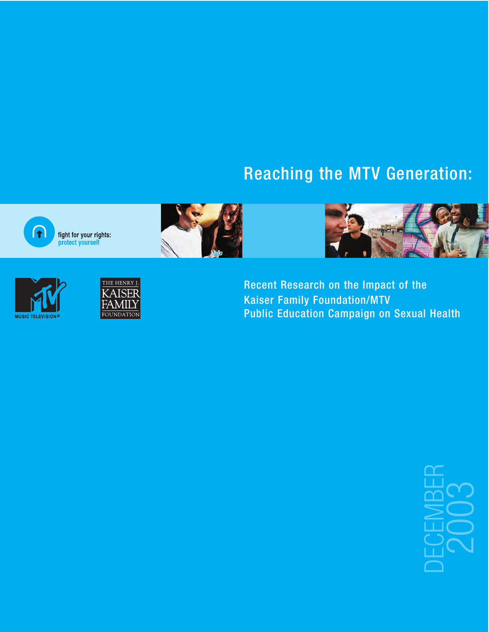# Reaching the MTV Generation:



**NUSIC TELEVISION** 



fight for your rights:<br>protect yourself





**Recent Research on the Impact of the Kaiser Family Foundation/MTV Public Education Campaign on Sexual Health** 

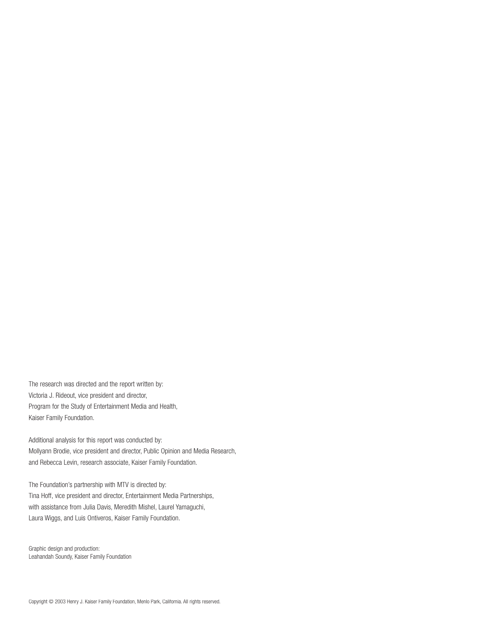The research was directed and the report written by: Victoria J. Rideout, vice president and director, Program for the Study of Entertainment Media and Health, Kaiser Family Foundation.

Additional analysis for this report was conducted by: Mollyann Brodie, vice president and director, Public Opinion and Media Research, and Rebecca Levin, research associate, Kaiser Family Foundation.

The Foundation's partnership with MTV is directed by: Tina Hoff, vice president and director, Entertainment Media Partnerships, with assistance from Julia Davis, Meredith Mishel, Laurel Yamaguchi, Laura Wiggs, and Luis Ontiveros, Kaiser Family Foundation.

Graphic design and production: Leahandah Soundy, Kaiser Family Foundation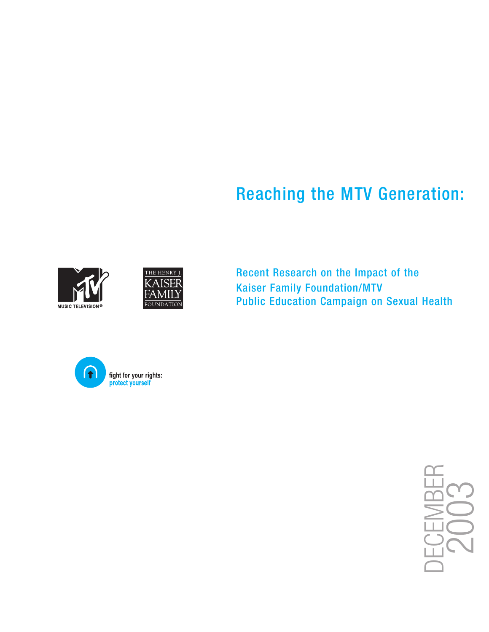# Reaching the MTV Generation:







Recent Research on the Impact of the Kaiser Family Foundation/MTV Public Education Campaign on Sexual Health

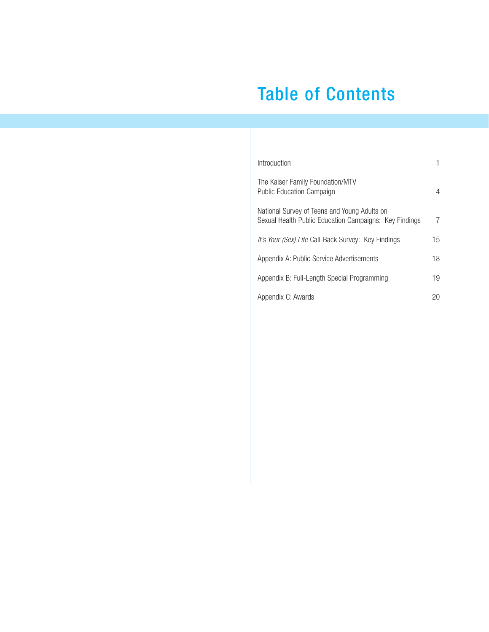# Table of Contents

| Introduction                                                                                           |    |
|--------------------------------------------------------------------------------------------------------|----|
| The Kaiser Family Foundation/MTV<br><b>Public Education Campaign</b>                                   | 4  |
| National Survey of Teens and Young Adults on<br>Sexual Health Public Education Campaigns: Key Findings |    |
| It's Your (Sex) Life Call-Back Survey: Key Findings                                                    | 15 |
| Appendix A: Public Service Advertisements                                                              | 18 |
| Appendix B: Full-Length Special Programming                                                            | 19 |
| Appendix C: Awards                                                                                     |    |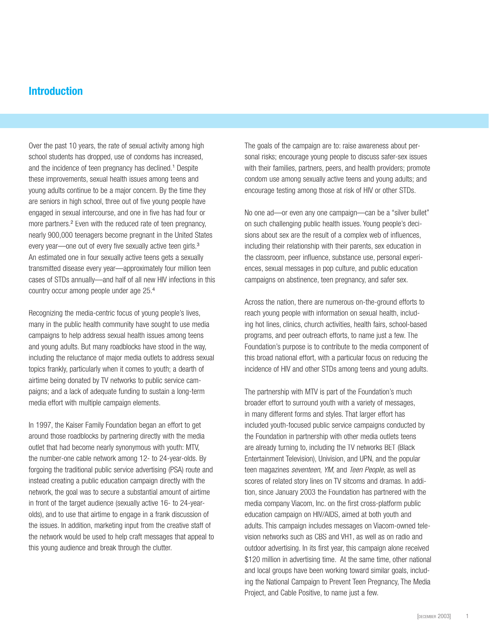## **Introduction**

Over the past 10 years, the rate of sexual activity among high school students has dropped, use of condoms has increased, and the incidence of teen pregnancy has declined.<sup>1</sup> Despite these improvements, sexual health issues among teens and young adults continue to be a major concern. By the time they are seniors in high school, three out of five young people have engaged in sexual intercourse, and one in five has had four or more partners.<sup>2</sup> Even with the reduced rate of teen pregnancy, nearly 900,000 teenagers become pregnant in the United States every year—one out of every five sexually active teen girls.<sup>3</sup> An estimated one in four sexually active teens gets a sexually transmitted disease every year—approximately four million teen cases of STDs annually—and half of all new HIV infections in this country occur among people under age 25.<sup>4</sup>

Recognizing the media-centric focus of young people's lives, many in the public health community have sought to use media campaigns to help address sexual health issues among teens and young adults. But many roadblocks have stood in the way, including the reluctance of major media outlets to address sexual topics frankly, particularly when it comes to youth; a dearth of airtime being donated by TV networks to public service campaigns; and a lack of adequate funding to sustain a long-term media effort with multiple campaign elements.

In 1997, the Kaiser Family Foundation began an effort to get around those roadblocks by partnering directly with the media outlet that had become nearly synonymous with youth: MTV, the number-one cable network among 12- to 24-year-olds. By forgoing the traditional public service advertising (PSA) route and instead creating a public education campaign directly with the network, the goal was to secure a substantial amount of airtime in front of the target audience (sexually active 16- to 24-yearolds), and to use that airtime to engage in a frank discussion of the issues. In addition, marketing input from the creative staff of the network would be used to help craft messages that appeal to this young audience and break through the clutter.

The goals of the campaign are to: raise awareness about personal risks; encourage young people to discuss safer-sex issues with their families, partners, peers, and health providers; promote condom use among sexually active teens and young adults; and encourage testing among those at risk of HIV or other STDs.

No one ad—or even any one campaign—can be a "silver bullet" on such challenging public health issues. Young people's decisions about sex are the result of a complex web of influences, including their relationship with their parents, sex education in the classroom, peer influence, substance use, personal experiences, sexual messages in pop culture, and public education campaigns on abstinence, teen pregnancy, and safer sex.

Across the nation, there are numerous on-the-ground efforts to reach young people with information on sexual health, including hot lines, clinics, church activities, health fairs, school-based programs, and peer outreach efforts, to name just a few. The Foundation's purpose is to contribute to the media component of this broad national effort, with a particular focus on reducing the incidence of HIV and other STDs among teens and young adults.

The partnership with MTV is part of the Foundation's much broader effort to surround youth with a variety of messages, in many different forms and styles. That larger effort has included youth-focused public service campaigns conducted by the Foundation in partnership with other media outlets teens are already turning to, including the TV networks BET (Black Entertainment Television), Univision, and UPN, and the popular teen magazines seventeen, YM, and Teen People, as well as scores of related story lines on TV sitcoms and dramas. In addition, since January 2003 the Foundation has partnered with the media company Viacom, Inc. on the first cross-platform public education campaign on HIV/AIDS, aimed at both youth and adults. This campaign includes messages on Viacom-owned television networks such as CBS and VH1, as well as on radio and outdoor advertising. In its first year, this campaign alone received \$120 million in advertising time. At the same time, other national and local groups have been working toward similar goals, including the National Campaign to Prevent Teen Pregnancy, The Media Project, and Cable Positive, to name just a few.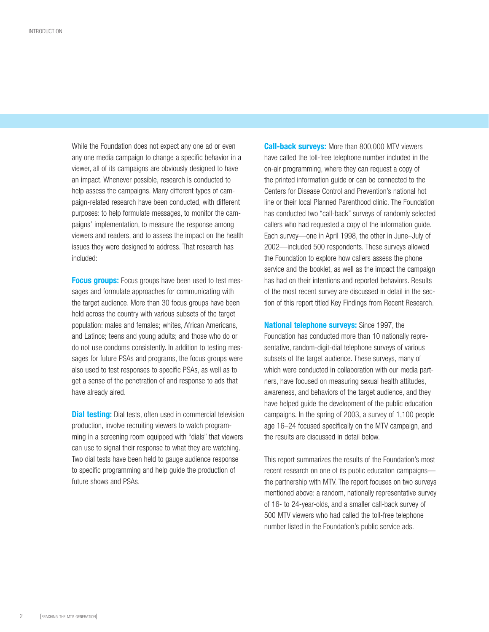While the Foundation does not expect any one ad or even any one media campaign to change a specific behavior in a viewer, all of its campaigns are obviously designed to have an impact. Whenever possible, research is conducted to help assess the campaigns. Many different types of campaign-related research have been conducted, with different purposes: to help formulate messages, to monitor the campaigns' implementation, to measure the response among viewers and readers, and to assess the impact on the health issues they were designed to address. That research has included:

**Focus groups:** Focus groups have been used to test messages and formulate approaches for communicating with the target audience. More than 30 focus groups have been held across the country with various subsets of the target population: males and females; whites, African Americans, and Latinos; teens and young adults; and those who do or do not use condoms consistently. In addition to testing messages for future PSAs and programs, the focus groups were also used to test responses to specific PSAs, as well as to get a sense of the penetration of and response to ads that have already aired.

**Dial testing:** Dial tests, often used in commercial television production, involve recruiting viewers to watch programming in a screening room equipped with "dials" that viewers can use to signal their response to what they are watching. Two dial tests have been held to gauge audience response to specific programming and help guide the production of future shows and PSAs.

**Call-back surveys:** More than 800,000 MTV viewers have called the toll-free telephone number included in the on-air programming, where they can request a copy of the printed information guide or can be connected to the Centers for Disease Control and Prevention's national hot line or their local Planned Parenthood clinic. The Foundation has conducted two "call-back" surveys of randomly selected callers who had requested a copy of the information guide. Each survey—one in April 1998, the other in June–July of 2002—included 500 respondents. These surveys allowed the Foundation to explore how callers assess the phone service and the booklet, as well as the impact the campaign has had on their intentions and reported behaviors. Results of the most recent survey are discussed in detail in the section of this report titled Key Findings from Recent Research.

**National telephone surveys:** Since 1997, the Foundation has conducted more than 10 nationally representative, random-digit-dial telephone surveys of various subsets of the target audience. These surveys, many of which were conducted in collaboration with our media partners, have focused on measuring sexual health attitudes, awareness, and behaviors of the target audience, and they have helped guide the development of the public education campaigns. In the spring of 2003, a survey of 1,100 people age 16–24 focused specifically on the MTV campaign, and the results are discussed in detail below.

This report summarizes the results of the Foundation's most recent research on one of its public education campaigns the partnership with MTV. The report focuses on two surveys mentioned above: a random, nationally representative survey of 16- to 24-year-olds, and a smaller call-back survey of 500 MTV viewers who had called the toll-free telephone number listed in the Foundation's public service ads.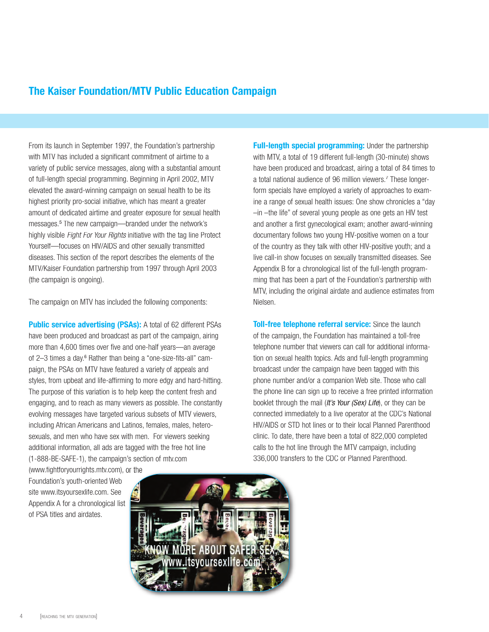# **The Kaiser Foundation/MTV Public Education Campaign**

From its launch in September 1997, the Foundation's partnership with MTV has included a significant commitment of airtime to a variety of public service messages, along with a substantial amount of full-length special programming. Beginning in April 2002, MTV elevated the award-winning campaign on sexual health to be its highest priority pro-social initiative, which has meant a greater amount of dedicated airtime and greater exposure for sexual health messages.<sup>5</sup> The new campaign—branded under the network's highly visible Fight For Your Rights initiative with the tag line Protect Yourself—focuses on HIV/AIDS and other sexually transmitted diseases. This section of the report describes the elements of the MTV/Kaiser Foundation partnership from 1997 through April 2003 (the campaign is ongoing).

The campaign on MTV has included the following components:

**Public service advertising (PSAs):** A total of 62 different PSAs have been produced and broadcast as part of the campaign, airing more than 4,600 times over five and one-half years—an average of 2–3 times a day.<sup>6</sup> Rather than being a "one-size-fits-all" campaign, the PSAs on MTV have featured a variety of appeals and styles, from upbeat and life-affirming to more edgy and hard-hitting. The purpose of this variation is to help keep the content fresh and engaging, and to reach as many viewers as possible. The constantly evolving messages have targeted various subsets of MTV viewers, including African Americans and Latinos, females, males, heterosexuals, and men who have sex with men. For viewers seeking additional information, all ads are tagged with the free hot line (1-888-BE-SAFE-1), the campaign's section of mtv.com

(www.fightforyourrights.mtv.com), or the Foundation's youth-oriented Web site www.itsyoursexlife.com. See Appendix A for a chronological list of PSA titles and airdates.

**Full-length special programming:** Under the partnership with MTV, a total of 19 different full-length (30-minute) shows have been produced and broadcast, airing a total of 84 times to a total national audience of 96 million viewers.<sup>7</sup> These longerform specials have employed a variety of approaches to examine a range of sexual health issues: One show chronicles a "day –in –the life" of several young people as one gets an HIV test and another a first gynecological exam; another award-winning documentary follows two young HIV-positive women on a tour of the country as they talk with other HIV-positive youth; and a live call-in show focuses on sexually transmitted diseases. See Appendix B for a chronological list of the full-length programming that has been a part of the Foundation's partnership with MTV, including the original airdate and audience estimates from

**Toll-free telephone referral service:** Since the launch of the campaign, the Foundation has maintained a toll-free telephone number that viewers can call for additional information on sexual health topics. Ads and full-length programming broadcast under the campaign have been tagged with this phone number and/or a companion Web site. Those who call the phone line can sign up to receive a free printed information booklet through the mail (It's Your (Sex) Life), or they can be connected immediately to a live operator at the CDC's National HIV/AIDS or STD hot lines or to their local Planned Parenthood clinic. To date, there have been a total of 822,000 completed calls to the hot line through the MTV campaign, including 336,000 transfers to the CDC or Planned Parenthood.

Nielsen.

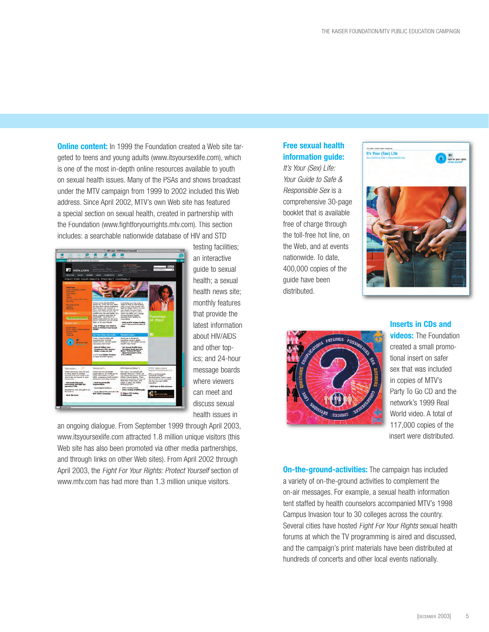**Online content:** In 1999 the Foundation created a Web site targeted to teens and young adults (www.itsyoursexlife.com), which is one of the most in-depth online resources available to youth on sexual health issues. Many of the PSAs and shows broadcast under the MTV campaign from 1999 to 2002 included this Web address. Since April 2002, MTV's own Web site has featured a special section on sexual health, created in partnership with the Foundation (www.fightforyourrights.mtv.com). This section includes: a searchable nationwide database of HIV and STD



testing facilities; an interactive guide to sexual health; a sexual health news site; monthly features that provide the latest information about HIV/AIDS and other topics; and 24-hour message boards where viewers can meet and discuss sexual health issues in

an ongoing dialogue. From September 1999 through April 2003, www.itsyoursexlife.com attracted 1.8 million unique visitors (this Web site has also been promoted via other media partnerships, and through links on other Web sites). From April 2002 through April 2003, the Fight For Your Rights: Protect Yoursell section of www.mtv.com has had more than 1.3 million unique visitors.

## **Free sexual health information guide:**

It's Your (Sex) Life: Your Guide to Safe & Responsible Sex is a comprehensive 30-page booklet that is available free of charge through the toll-free hot line, on the Web, and at events nationwide. To date, 400,000 copies of the guide have been distributed.





**Inserts in CDs and videos:** The Foundation created a small promotional insert on safer sex that was included in copies of MTV's Party To Go CD and the network's 1999 Real World video. A total of 117,000 copies of the insert were distributed.

**On-the-ground-activities:** The campaign has included a variety of on-the-ground activities to complement the on-air messages. For example, a sexual health information tent staffed by health counselors accompanied MTV's 1998 Campus Invasion tour to 30 colleges across the country. Several cities have hosted Fight For Your Rights sexual health forums at which the TV programming is aired and discussed, and the campaign's print materials have been distributed at hundreds of concerts and other local events nationally.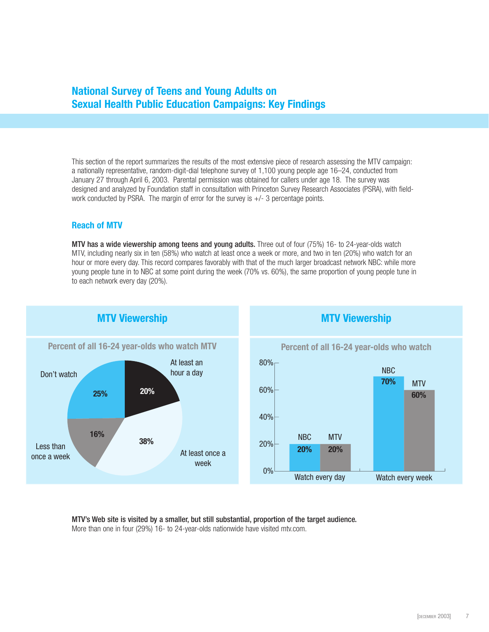# **National Survey of Teens and Young Adults on Sexual Health Public Education Campaigns: Key Findings**

This section of the report summarizes the results of the most extensive piece of research assessing the MTV campaign: a nationally representative, random-digit-dial telephone survey of 1,100 young people age 16–24, conducted from January 27 through April 6, 2003. Parental permission was obtained for callers under age 18. The survey was designed and analyzed by Foundation staff in consultation with Princeton Survey Research Associates (PSRA), with fieldwork conducted by PSRA. The margin of error for the survey is  $+/-$  3 percentage points.

#### **Reach of MTV**

MTV has a wide viewership among teens and young adults. Three out of four (75%) 16- to 24-year-olds watch MTV, including nearly six in ten (58%) who watch at least once a week or more, and two in ten (20%) who watch for an hour or more every day. This record compares favorably with that of the much larger broadcast network NBC: while more young people tune in to NBC at some point during the week (70% vs. 60%), the same proportion of young people tune in to each network every day (20%).



MTV's Web site is visited by a smaller, but still substantial, proportion of the target audience. More than one in four (29%) 16- to 24-year-olds nationwide have visited mtv.com.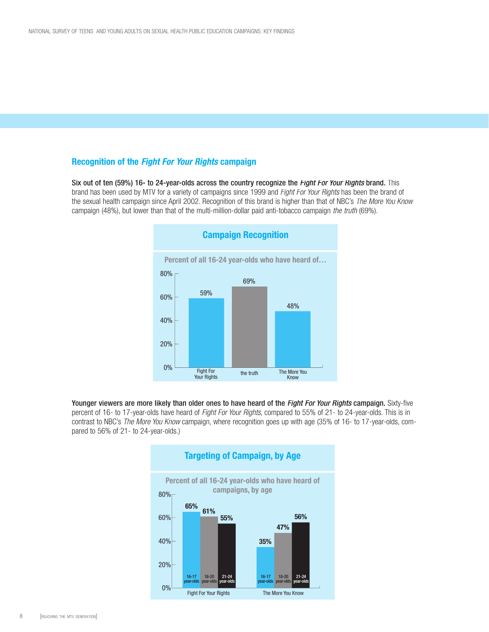#### **Recognition of the Fight For Your Rights campaign**

Six out of ten (59%) 16- to 24-year-olds across the country recognize the Fight For Your Rights brand. This brand has been used by MTV for a variety of campaigns since 1999 and Fight For Your Rights has been the brand of the sexual health campaign since April 2002. Recognition of this brand is higher than that of NBC's The More You Know campaign (48%), but lower than that of the multi-million-dollar paid anti-tobacco campaign the truth (69%).



Younger viewers are more likely than older ones to have heard of the Fight For Your Rights campaign. Sixty-five percent of 16- to 17-year-olds have heard of Fight For Your Rights, compared to 55% of 21- to 24-year-olds. This is in contrast to NBC's The More You Know campaign, where recognition goes up with age (35% of 16- to 17-year-olds, compared to 56% of 21- to 24-year-olds.)

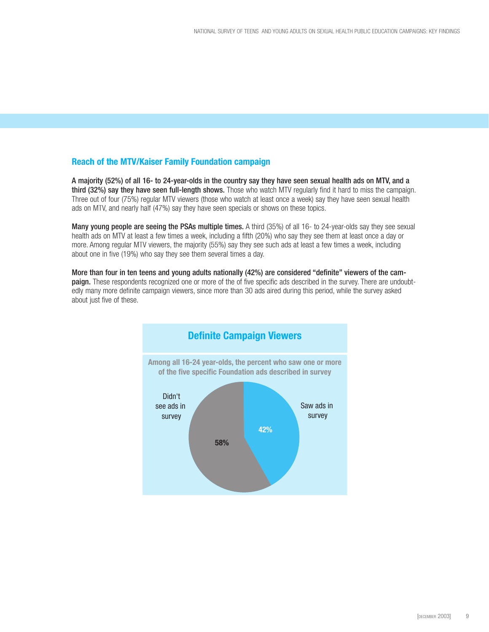#### **Reach of the MTV/Kaiser Family Foundation campaign**

A majority (52%) of all 16- to 24-year-olds in the country say they have seen sexual health ads on MTV, and a third (32%) say they have seen full-length shows. Those who watch MTV regularly find it hard to miss the campaign. Three out of four (75%) regular MTV viewers (those who watch at least once a week) say they have seen sexual health ads on MTV, and nearly half (47%) say they have seen specials or shows on these topics.

Many young people are seeing the PSAs multiple times. A third (35%) of all 16- to 24-year-olds say they see sexual health ads on MTV at least a few times a week, including a fifth (20%) who say they see them at least once a day or more. Among regular MTV viewers, the majority (55%) say they see such ads at least a few times a week, including about one in five (19%) who say they see them several times a day.

More than four in ten teens and young adults nationally (42%) are considered "definite" viewers of the campaign. These respondents recognized one or more of the of five specific ads described in the survey. There are undoubtedly many more definite campaign viewers, since more than 30 ads aired during this period, while the survey asked about just five of these.

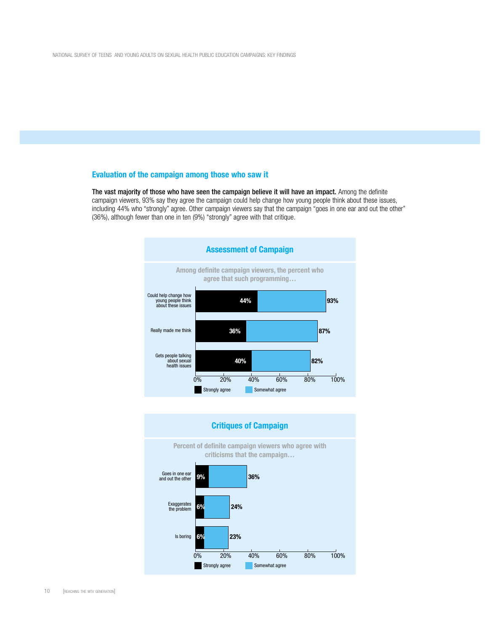#### **Evaluation of the campaign among those who saw it**

The vast majority of those who have seen the campaign believe it will have an impact. Among the definite campaign viewers, 93% say they agree the campaign could help change how young people think about these issues, including 44% who "strongly" agree. Other campaign viewers say that the campaign "goes in one ear and out the other" (36%), although fewer than one in ten (9%) "strongly" agree with that critique.



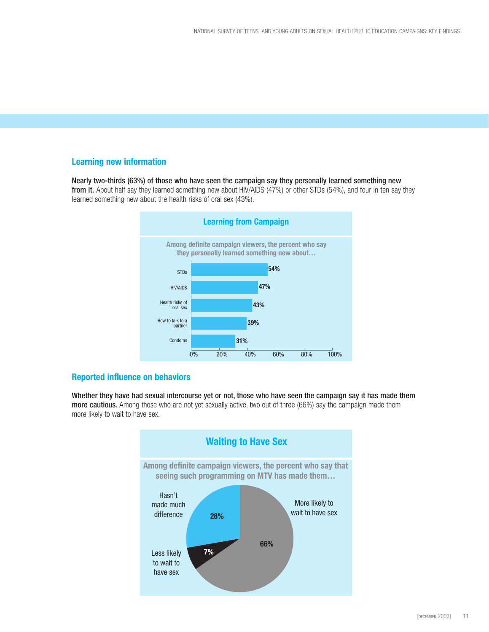#### **Learning new information**

Nearly two-thirds (63%) of those who have seen the campaign say they personally learned something new from it. About half say they learned something new about HIV/AIDS (47%) or other STDs (54%), and four in ten say they learned something new about the health risks of oral sex (43%).



#### **Reported influence on behaviors**

Whether they have had sexual intercourse yet or not, those who have seen the campaign say it has made them more cautious. Among those who are not yet sexually active, two out of three (66%) say the campaign made them more likely to wait to have sex.

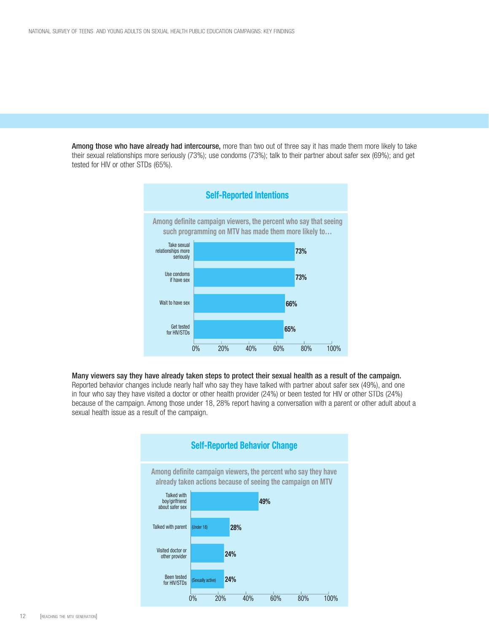Among those who have already had intercourse, more than two out of three say it has made them more likely to take their sexual relationships more seriously (73%); use condoms (73%); talk to their partner about safer sex (69%); and get tested for HIV or other STDs (65%).



#### Many viewers say they have already taken steps to protect their sexual health as a result of the campaign.

Reported behavior changes include nearly half who say they have talked with partner about safer sex (49%), and one in four who say they have visited a doctor or other health provider (24%) or been tested for HIV or other STDs (24%) because of the campaign. Among those under 18, 28% report having a conversation with a parent or other adult about a sexual health issue as a result of the campaign.

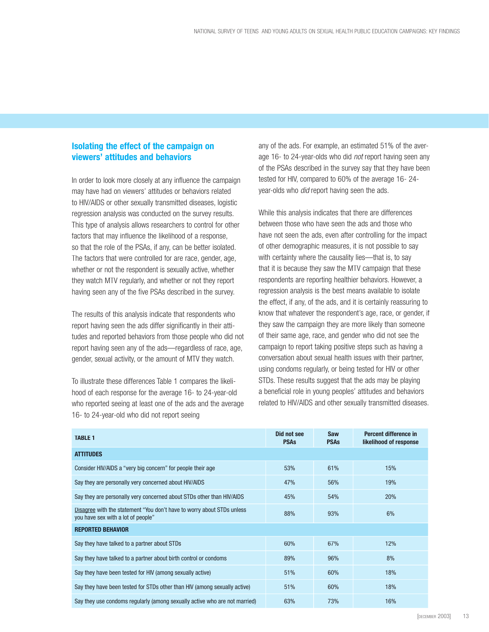### **Isolating the effect of the campaign on viewers' attitudes and behaviors**

In order to look more closely at any influence the campaign may have had on viewers' attitudes or behaviors related to HIV/AIDS or other sexually transmitted diseases, logistic regression analysis was conducted on the survey results. This type of analysis allows researchers to control for other factors that may influence the likelihood of a response, so that the role of the PSAs, if any, can be better isolated. The factors that were controlled for are race, gender, age, whether or not the respondent is sexually active, whether they watch MTV regularly, and whether or not they report having seen any of the five PSAs described in the survey.

The results of this analysis indicate that respondents who report having seen the ads differ significantly in their attitudes and reported behaviors from those people who did not report having seen any of the ads—regardless of race, age, gender, sexual activity, or the amount of MTV they watch.

To illustrate these differences Table 1 compares the likelihood of each response for the average 16- to 24-year-old who reported seeing at least one of the ads and the average 16- to 24-year-old who did not report seeing

any of the ads. For example, an estimated 51% of the average 16- to 24-year-olds who did not report having seen any of the PSAs described in the survey say that they have been tested for HIV, compared to 60% of the average 16- 24 year-olds who *did* report having seen the ads.

While this analysis indicates that there are differences between those who have seen the ads and those who have not seen the ads, even after controlling for the impact of other demographic measures, it is not possible to say with certainty where the causality lies—that is, to say that it is because they saw the MTV campaign that these respondents are reporting healthier behaviors. However, a regression analysis is the best means available to isolate the effect, if any, of the ads, and it is certainly reassuring to know that whatever the respondent's age, race, or gender, if they saw the campaign they are more likely than someone of their same age, race, and gender who did not see the campaign to report taking positive steps such as having a conversation about sexual health issues with their partner, using condoms regularly, or being tested for HIV or other STDs. These results suggest that the ads may be playing a beneficial role in young peoples' attitudes and behaviors related to HIV/AIDS and other sexually transmitted diseases.

| <b>TABLE 1</b>                                                                                               | Did not see<br><b>PSAs</b> | Saw<br><b>PSAS</b> | Percent difference in<br>likelihood of response |  |  |
|--------------------------------------------------------------------------------------------------------------|----------------------------|--------------------|-------------------------------------------------|--|--|
| <b>ATTITUDES</b>                                                                                             |                            |                    |                                                 |  |  |
| Consider HIV/AIDS a "very big concern" for people their age                                                  | 53%                        | 61%                | 15%                                             |  |  |
| Say they are personally very concerned about HIV/AIDS                                                        | 47%                        | 56%                | 19%                                             |  |  |
| Say they are personally very concerned about STDs other than HIV/AIDS                                        | 45%                        | 54%                | 20%                                             |  |  |
| Disagree with the statement "You don't have to worry about STDs unless<br>you have sex with a lot of people" | 88%                        | 93%                | 6%                                              |  |  |
| <b>REPORTED BEHAVIOR</b>                                                                                     |                            |                    |                                                 |  |  |
| Say they have talked to a partner about STDs                                                                 | 60%                        | 67%                | 12%                                             |  |  |
| Say they have talked to a partner about birth control or condoms                                             | 89%                        | 96%                | 8%                                              |  |  |
| Say they have been tested for HIV (among sexually active)                                                    | 51%                        | 60%                | 18%                                             |  |  |
| Say they have been tested for STDs other than HIV (among sexually active)                                    | 51%                        | 60%                | 18%                                             |  |  |
| Say they use condoms regularly (among sexually active who are not married)                                   | 63%                        | 73%                | 16%                                             |  |  |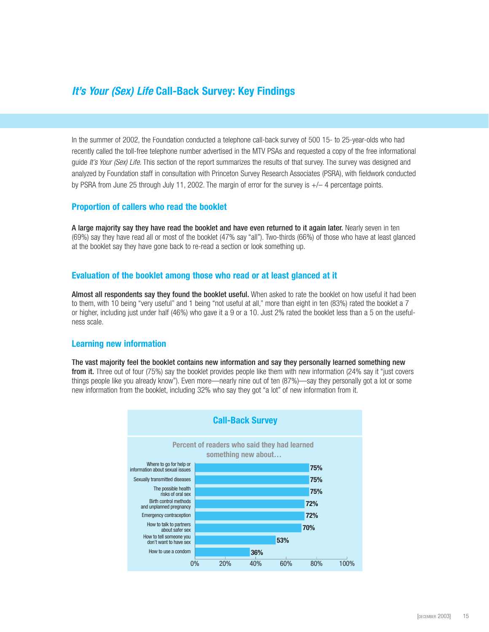# **It's Your (Sex) Life Call-Back Survey: Key Findings**

In the summer of 2002, the Foundation conducted a telephone call-back survey of 500 15- to 25-year-olds who had recently called the toll-free telephone number advertised in the MTV PSAs and requested a copy of the free informational guide It's Your (Sex) Life. This section of the report summarizes the results of that survey. The survey was designed and analyzed by Foundation staff in consultation with Princeton Survey Research Associates (PSRA), with fieldwork conducted by PSRA from June 25 through July 11, 2002. The margin of error for the survey is +/– 4 percentage points.

#### **Proportion of callers who read the booklet**

A large majority say they have read the booklet and have even returned to it again later. Nearly seven in ten (69%) say they have read all or most of the booklet (47% say "all"). Two-thirds (66%) of those who have at least glanced at the booklet say they have gone back to re-read a section or look something up.

#### **Evaluation of the booklet among those who read or at least glanced at it**

Almost all respondents say they found the booklet useful. When asked to rate the booklet on how useful it had been to them, with 10 being "very useful" and 1 being "not useful at all," more than eight in ten (83%) rated the booklet a 7 or higher, including just under half (46%) who gave it a 9 or a 10. Just 2% rated the booklet less than a 5 on the usefulness scale.

#### **Learning new information**

The vast majority feel the booklet contains new information and say they personally learned something new from it. Three out of four (75%) say the booklet provides people like them with new information (24% say it "just covers things people like you already know"). Even more—nearly nine out of ten (87%)—say they personally got a lot or some new information from the booklet, including 32% who say they got "a lot" of new information from it.

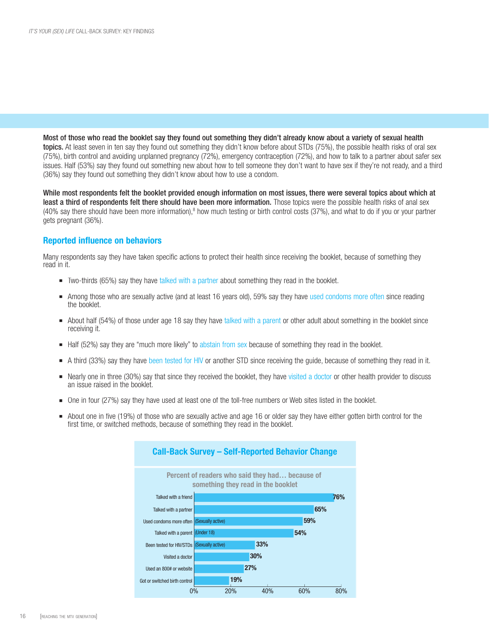Most of those who read the booklet say they found out something they didn't already know about a variety of sexual health topics. At least seven in ten say they found out something they didn't know before about STDs (75%), the possible health risks of oral sex (75%), birth control and avoiding unplanned pregnancy (72%), emergency contraception (72%), and how to talk to a partner about safer sex issues. Half (53%) say they found out something new about how to tell someone they don't want to have sex if they're not ready, and a third (36%) say they found out something they didn't know about how to use a condom.

While most respondents felt the booklet provided enough information on most issues, there were several topics about which at least a third of respondents felt there should have been more information. Those topics were the possible health risks of anal sex (40% say there should have been more information),<sup>8</sup> how much testing or birth control costs (37%), and what to do if you or your partner gets pregnant (36%).

#### **Reported influence on behaviors**

Many respondents say they have taken specific actions to protect their health since receiving the booklet, because of something they read in it.

- **n** Two-thirds (65%) say they have talked with a partner about something they read in the booklet.
- Among those who are sexually active (and at least 16 years old), 59% say they have used condoms more often since reading the booklet.
- <sup>n</sup> About half (54%) of those under age 18 say they have talked with a parent or other adult about something in the booklet since receiving it.
- Half (52%) say they are "much more likely" to abstain from sex because of something they read in the booklet.
- A third (33%) say they have been tested for HIV or another STD since receiving the guide, because of something they read in it.
- Nearly one in three (30%) say that since they received the booklet, they have visited a doctor or other health provider to discuss an issue raised in the booklet.
- <sup>n</sup> One in four (27%) say they have used at least one of the toll-free numbers or Web sites listed in the booklet.
- About one in five (19%) of those who are sexually active and age 16 or older say they have either gotten birth control for the first time, or switched methods, because of something they read in the booklet.

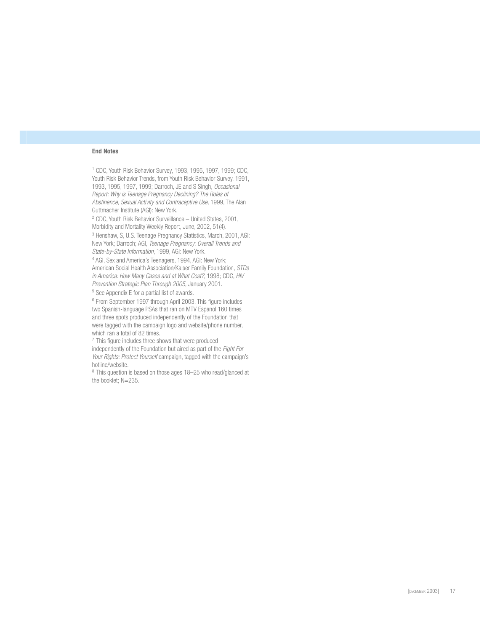#### **End Notes**

<sup>1</sup> CDC, Youth Risk Behavior Survey, 1993, 1995, 1997, 1999; CDC, Youth Risk Behavior Trends, from Youth Risk Behavior Survey, 1991, 1993, 1995, 1997, 1999; Darroch, JE and S Singh, *Occasional Report: Why is Teenage Pregnancy Declining? The Roles of Abstinence, Sexual Activity and Contraceptive Use,* 1999, The Alan Guttmacher Institute (AGI): New York.

<sup>2</sup> CDC, Youth Risk Behavior Surveillance – United States, 2001, Morbidity and Mortality Weekly Report, June, 2002, 51(4).

<sup>3</sup> Henshaw, S, U.S. Teenage Pregnancy Statistics, March, 2001, AGI: New York; Darroch; AGI, *Teenage Pregnancy: Overall Trends and State-by-State Information*, 1999, AGI: New York. 4

<sup>4</sup> AGI, Sex and America's Teenagers, 1994, AGI: New York; American Social Health Association/Kaiser Family Foundation, *STDs in America: How Many Cases and at What Cost?*, 1998; CDC, *HIV Prevention Strategic Plan Through 2005*, January 2001.

<sup>5</sup> See Appendix E for a partial list of awards.

 $6$  From September 1997 through April 2003. This figure includes two Spanish-language PSAs that ran on MTV Espanol 160 times and three spots produced independently of the Foundation that were tagged with the campaign logo and website/phone number, which ran a total of 82 times.

 $7$  This figure includes three shows that were produced independently of the Foundation but aired as part of the *Fight For Your Rights: Protect Yourself* campaign, tagged with the campaign's hotline/website.

<sup>8</sup> This question is based on those ages 18–25 who read/glanced at the booklet; N=235.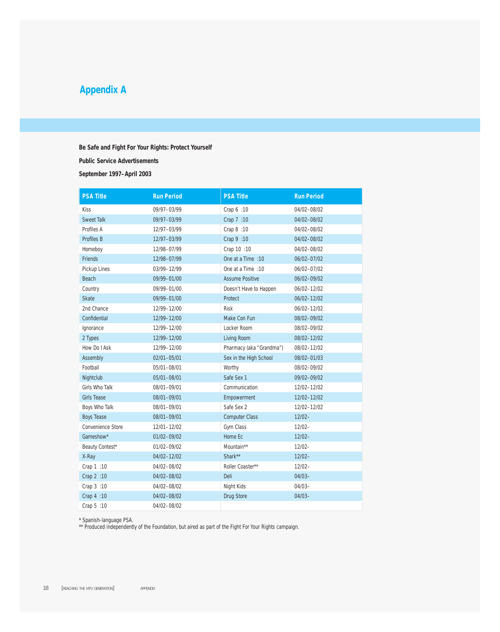# **Appendix A**

#### *Be Safe* **and** *Fight For Your Rights: Protect Yourself*

**Public Service Advertisements**

**September 1997–April 2003**

| <b>PSA Title</b>   | <b>Run Period</b> | <b>PSA Title</b>         | <b>Run Period</b> |
|--------------------|-------------------|--------------------------|-------------------|
| Kiss               | 09/97-03/99       | Crap 6 :10               | 04/02-08/02       |
| <b>Sweet Talk</b>  | 09/97-03/99       | Crap 7 :10               | 04/02-08/02       |
| Profiles A         | 12/97-03/99       | Crap 8 :10               | 04/02-08/02       |
| <b>Profiles B</b>  | 12/97-03/99       | Crap 9 :10               | 04/02-08/02       |
| Homeboy            | 12/98-07/99       | Crap 10 :10              | 04/02-08/02       |
| Friends            | 12/98-07/99       | One at a Time : 10       | 06/02-07/02       |
| Pickup Lines       | 03/99-12/99       | One at a Time : 10       | 06/02-07/02       |
| <b>Beach</b>       | 09/99-01/00       | <b>Assume Positive</b>   | 06/02-09/02       |
| Country            | 09/99-01/00       | Doesn't Have to Happen   | 06/02-12/02       |
| <b>Skate</b>       | 09/99-01/00       | Protect                  | 06/02-12/02       |
| 2nd Chance         | 12/99-12/00       | <b>Risk</b>              | 06/02-12/02       |
| Confidential       | 12/99-12/00       | Make Con Fun             | 08/02-09/02       |
| Ignorance          | 12/99-12/00       | Locker Room              | 08/02-09/02       |
| 2 Types            | 12/99-12/00       | Living Room              | 08/02-12/02       |
| How Do I Ask       | 12/99-12/00       | Pharmacy (aka "Grandma") | 08/02-12/02       |
| <b>Assembly</b>    | 02/01-05/01       | Sex in the High School   | 08/02-01/03       |
| Football           | 05/01-08/01       | Worthy                   | 08/02-09/02       |
| Nightclub          | 05/01-08/01       | Safe Sex 1               | 09/02-09/02       |
| Girls Who Talk     | 08/01-09/01       | Communication            | 12/02-12/02       |
| <b>Girls Tease</b> | 08/01-09/01       | Empowerment              | 12/02-12/02       |
| Boys Who Talk      | 08/01-09/01       | Safe Sex 2               | 12/02-12/02       |
| <b>Boys Tease</b>  | 08/01-09/01       | <b>Computer Class</b>    | $12/02 -$         |
| Convenience Store  | 12/01-12/02       | Gym Class                | $12/02 -$         |
| Gameshow*          | 01/02-09/02       | Home Ec                  | $12/02 -$         |
| Beauty Contest*    | 01/02-09/02       | Mountain**               | $12/02 -$         |
| X-Ray              | 04/02-12/02       | Shark**                  | $12/02 -$         |
| Crap 1 :10         | 04/02-08/02       | Roller Coaster**         | $12/02 -$         |
| Crap 2 :10         | 04/02-08/02       | Deli                     | $04/03 -$         |
| Crap 3 :10         | 04/02-08/02       | Night Kids               | $04/03 -$         |
| Crap 4 :10         | 04/02-08/02       | <b>Drug Store</b>        | $04/03 -$         |
| Crap 5 :10         | 04/02-08/02       |                          |                   |

\* Spanish-language PSA.

\*\* Produced independently of the Foundation, but aired as part of the *Fight For Your Rights* campaign.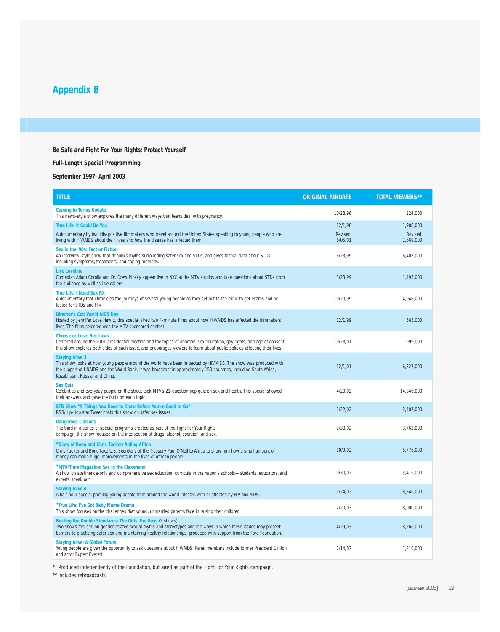# **Appendix B**

## *Be Safe* **and** *Fight For Your Rights: Protect Yourself*

#### **Full-Length Special Programming**

## **September 1997–April 2003**

| <b>TITLE</b>                                                                                                                                                                                                                                                                                              | <b>ORIGINAL AIRDATE</b> | <b>TOTAL VIEWERS**</b> |
|-----------------------------------------------------------------------------------------------------------------------------------------------------------------------------------------------------------------------------------------------------------------------------------------------------------|-------------------------|------------------------|
| <b>Coming to Terms Update</b><br>This news-style show explores the many different ways that teens deal with pregnancy.                                                                                                                                                                                    | 10/28/98                | 224,000                |
| <b>True Life: It Could Be You</b>                                                                                                                                                                                                                                                                         | 12/1/98                 | 1.908.000              |
| A documentary by two HIV-positive filmmakers who travel around the United States speaking to young people who are<br>living with HIV/AIDS about their lives and how the disease has affected them.                                                                                                        | Revised:<br>6/05/01     | Revised:<br>1,669,000  |
| Sex in the '90s: Fact or Fiction<br>An interview-style show that debunks myths surrounding safer sex and STDs, and gives factual data about STDs<br>including symptoms, treatments, and coping methods.                                                                                                   | 3/23/99                 | 6,402,000              |
| <b>Live Loveline</b><br>Comedian Adam Corolla and Dr. Drew Pinsky appear live in NYC at the MTV studios and take questions about STDs from<br>the audience as well as live callers.                                                                                                                       | 3/23/99                 | 1.495.000              |
| <b>True Life: I Need Sex RX</b><br>A documentary that chronicles the journeys of several young people as they set out to the clinic to get exams and be<br>tested for STDs and HIV.                                                                                                                       | 10/20/99                | 4,948,000              |
| <b>Director's Cut: World AIDS Day</b><br>Hosted by Jennifer Love Hewitt, this special aired two 4-minute films about how HIV/AIDS has affected the filmmakers'<br>lives. The films selected won the MTV-sponsored contest.                                                                                | 12/1/99                 | 565,000                |
| <b>Choose or Lose: Sex Laws</b><br>Centered around the 2001 presidential election and the topics of abortion, sex education, gay rights, and age of consent,<br>this show explores both sides of each issue, and encourages viewers to learn about public policies affecting their lives.                 | 10/23/01                | 999,000                |
| <b>Staying Alive 3</b><br>This show looks at how young people around the world have been impacted by HIV/AIDS. The show was produced with<br>the support of UNAIDS and the World Bank. It was broadcast in approximately 150 countries, including South Africa,<br>Kazakhstan, Russia, and China.         | 12/1/01                 | 6,327,000              |
| <b>Sex Quiz</b><br>Celebrities and everyday people on the street took MTV's 21-question pop quiz on sex and health. This special showed<br>their answers and gave the facts on each topic.                                                                                                                | 4/20/02                 | 14,846,000             |
| STD Show "9 Things You Need to Know Before You're Good to Go"<br>R&B/Hip-Hop star Tweet hosts this show on safer sex issues.                                                                                                                                                                              | 5/22/02                 | 3.407.000              |
| <b>Dangerous Liaisons</b><br>The third in a series of special programs created as part of the Fight For Your Rights<br>campaign, the show focused on the intersection of drugs, alcohol, coercion, and sex.                                                                                               | 7/30/02                 | 3,762,000              |
| "Diary of Bono and Chris Tucker: Aiding Africa<br>Chris Tucker and Bono take U.S. Secretary of the Treasury Paul O'Neil to Africa to show him how a small amount of<br>money can make huge improvements in the lives of African people.                                                                   | 10/9/02                 | 5,776,000              |
| "MTV/Time Magazine: Sex in the Classroom<br>A show on abstinence-only and comprehensive sex education curricula in the nation's schools-students, educators, and<br>experts speak out.                                                                                                                    | 10/30/02                | 3,416,000              |
| <b>Staying Alive 4</b><br>A half-hour special profiling young people from around the world infected with or affected by HIV and AIDS.                                                                                                                                                                     | 11/24/02                | 8,346,000              |
| True Life: I've Got Baby Mama Drama<br>This show focuses on the challenges that young, unmarried parents face in raising their children.                                                                                                                                                                  | 2/20/03                 | 8,000,000              |
| Busting the Double Standards: The Girls, the Guys (2 shows)<br>Two shows focused on gender-related sexual myths and stereotypes and the ways in which these issues may present<br>barriers to practicing safer sex and maintaining healthy relationships, produced with support from the Ford Foundation. | 4/29/03                 | 8,266,000              |
| <b>Staying Alive: A Global Forum</b><br>Young people are given the opportunity to ask questions about HIV/AIDS. Panel members include former President Clinton<br>and actor Rupert Everett.                                                                                                               | 7/14/03                 | 1,210,000              |

\* Produced independently of the Foundation, but aired as part of the *Fight For Your Rights* campaign.

\*\* Includes rebroadcasts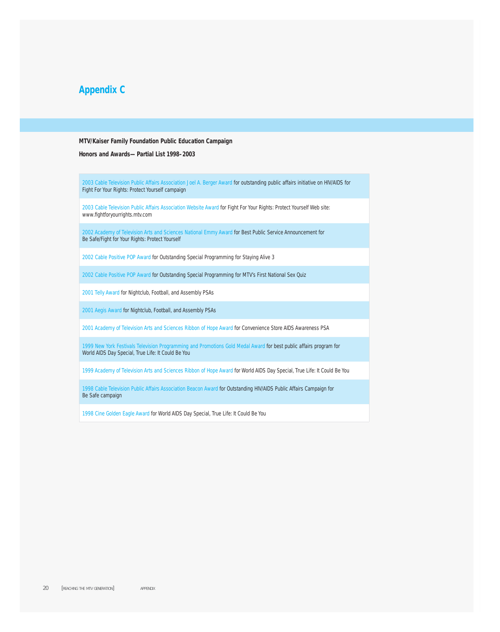# **Appendix C**

#### **MTV/Kaiser Family Foundation Public Education Campaign**

#### **Honors and Awards—Partial List 1998–2003**

2003 Cable Television Public Affairs Association Joel A. Berger Award for outstanding public affairs initiative on HIV/AIDS for *Fight For Your Rights: Protect Yourself* campaign

2003 Cable Television Public Affairs Association Website Award for *Fight For Your Rights: Protect Yourself Web site*: www.fightforyourrights.mtv.com

2002 Academy of Television Arts and Sciences National Emmy Award for Best Public Service Announcement for *Be Safe/Fight for Your Rights: Protect Yourself* 

2002 Cable Positive POP Award for Outstanding Special Programming for *Staying Alive 3*

2002 Cable Positive POP Award for Outstanding Special Programming for *MTV's First National Sex Quiz*

2001 Telly Award for *Nightclub, Football, and Assembly* PSAs

2001 Aegis Award *for Nightclub, Football, and Assembly* PSAs

2001 Academy of Television Arts and Sciences Ribbon of Hope Award for *Convenience Store* AIDS Awareness PSA

1999 New York Festivals Television Programming and Promotions Gold Medal Award for best public affairs program for World AIDS Day Special, *True Life: It Could Be You* 

1999 Academy of Television Arts and Sciences Ribbon of Hope Award for World AIDS Day Special, *True Life: It Could Be You* 

1998 Cable Television Public Affairs Association Beacon Award for Outstanding HIV/AIDS Public Affairs Campaign for *Be Safe* campaign

1998 Cine Golden Eagle Award for World AIDS Day Special, *True Life: It Could Be You*